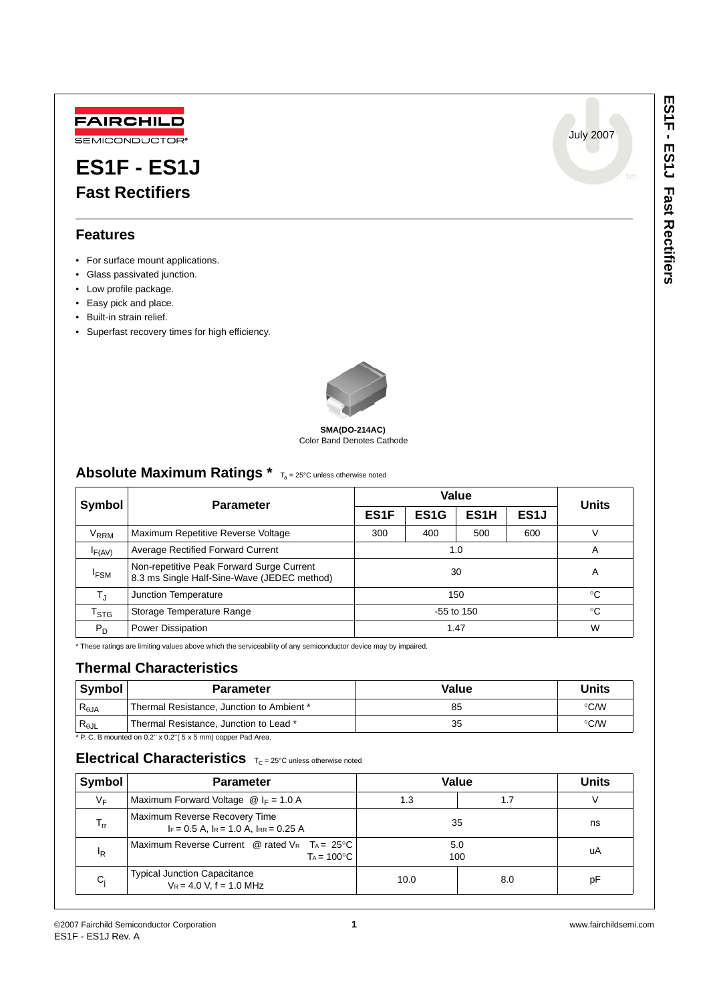July 2007



# **ES1F - ES1J Fast Rectifiers**

### **Features**

- For surface mount applications.
- Glass passivated junction.
- Low profile package.
- Easy pick and place.
- Built-in strain relief.
- Superfast recovery times for high efficiency.



#### Color Band Denotes Cathode **SMA(DO-214AC)**

### Absolute Maximum Ratings \* T<sub>a</sub> = 25°C unless otherwise noted

| Symbol                    | <b>Parameter</b>                                                                         | Value             |                   |                   |                 | <b>Units</b> |
|---------------------------|------------------------------------------------------------------------------------------|-------------------|-------------------|-------------------|-----------------|--------------|
|                           |                                                                                          | ES <sub>1</sub> F | ES <sub>1</sub> G | ES <sub>1</sub> H | ES <sub>1</sub> |              |
| V <sub>RRM</sub>          | Maximum Repetitive Reverse Voltage                                                       | 300               | 400               | 500               | 600             |              |
| $I_{F(AV)}$               | <b>Average Rectified Forward Current</b>                                                 | 1.0               |                   |                   | A               |              |
| <sup>I</sup> FSM          | Non-repetitive Peak Forward Surge Current<br>8.3 ms Single Half-Sine-Wave (JEDEC method) | 30                |                   |                   | A               |              |
| $T_{\rm J}$               | Junction Temperature                                                                     | 150               |                   |                   | °C              |              |
| $\mathsf{T}_{\text{STG}}$ | Storage Temperature Range                                                                | $-55$ to 150      |                   | °C                |                 |              |
| $P_D$                     | Power Dissipation                                                                        | 1.47              |                   | W                 |                 |              |

\* These ratings are limiting values above which the serviceability of any semiconductor device may by impaired.

### **Thermal Characteristics**

| <b>Symbol</b>          | <b>Parameter</b>                                                    | Value | Units         |
|------------------------|---------------------------------------------------------------------|-------|---------------|
| $R_{\theta$ JA         | Thermal Resistance, Junction to Ambient *                           | 85    | $\degree$ C/W |
| $R_{\theta \text{JL}}$ | Thermal Resistance, Junction to Lead *                              | 35    | $\degree$ C/W |
|                        | $*D C$ P mounted on 0.2" $v = 0.2$ " $E$ $v = mm$ ) connor Red Area |       |               |

 $2. B$  mounted on  $0.2$ " x  $0.2$ " $(5 \times 5 \text{ mm})$  copper Pad Area.

### **Electrical Characteristics**  $T_C = 25^{\circ}C$  unless otherwise noted

| Symbol                     | <b>Parameter</b>                                                                   | Value      |     | <b>Units</b> |
|----------------------------|------------------------------------------------------------------------------------|------------|-----|--------------|
| $V_F$                      | Maximum Forward Voltage $\omega$ I <sub>F</sub> = 1.0 A                            | 1.3        | 1.7 |              |
| $\mathsf{T}_{\mathsf{rr}}$ | Maximum Reverse Recovery Time<br>$IF = 0.5 A$ , $IR = 1.0 A$ , $IR = 0.25 A$       | 35         |     | ns           |
| <sup>I</sup> R             | Maximum Reverse Current @ rated $V_R$ T <sub>A</sub> = 25°C<br>$Ta = 100^{\circ}C$ | 5.0<br>100 |     | uA           |
| $C_i$                      | <b>Typical Junction Capacitance</b><br>$V_R = 4.0 V$ , f = 1.0 MHz                 | 10.0       | 8.0 | рF           |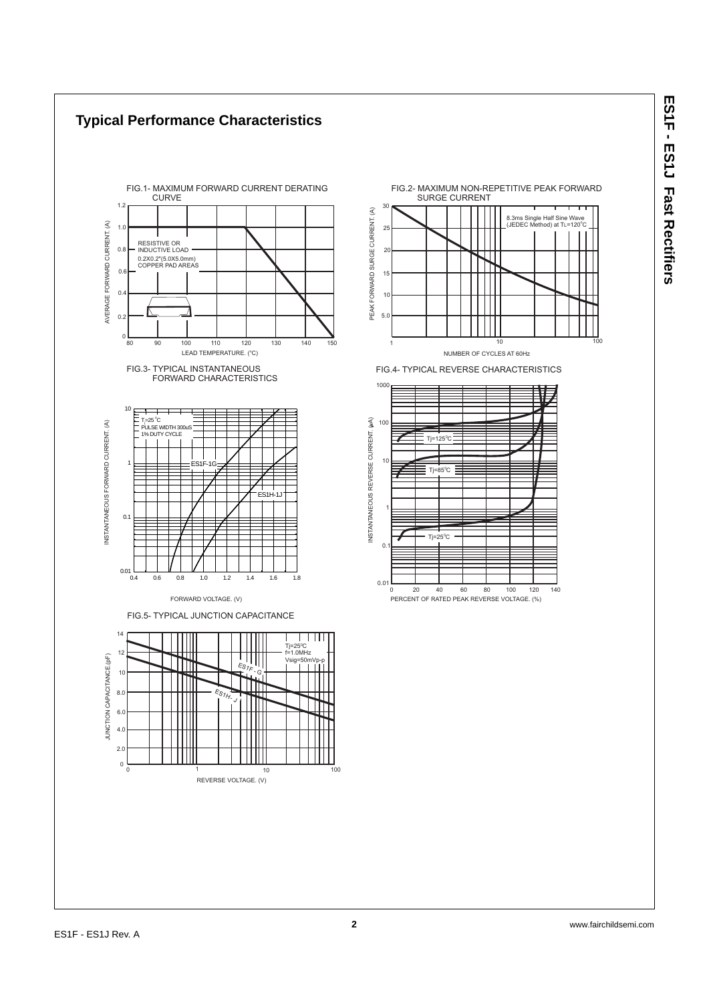8.3ms Single Half Sine Wave<br>(JEDEC Method) at TL=120°C

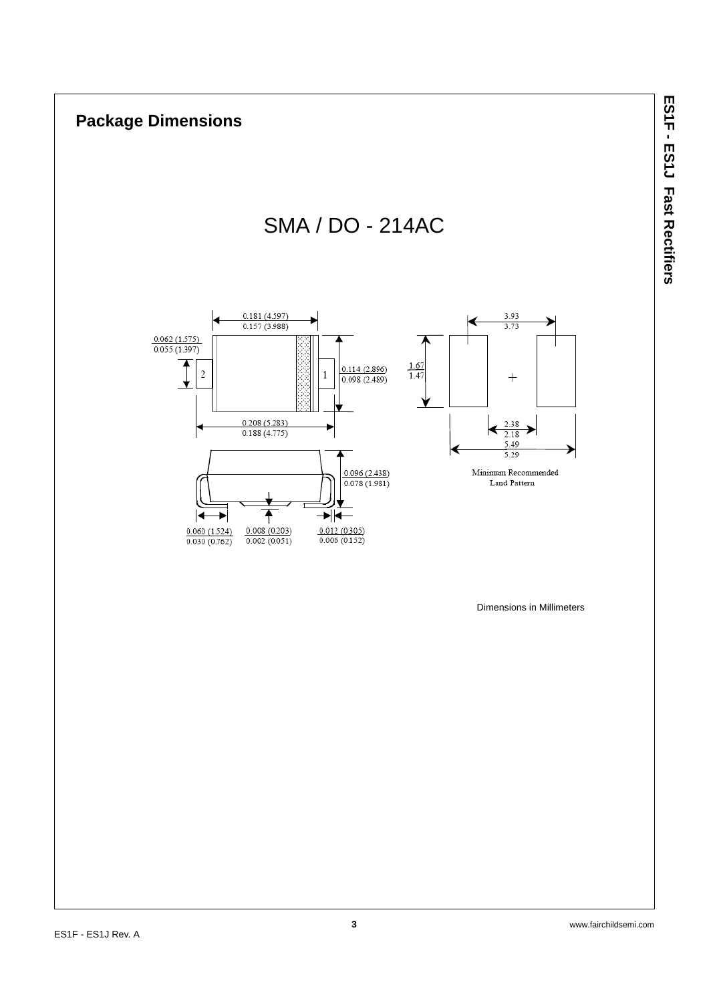